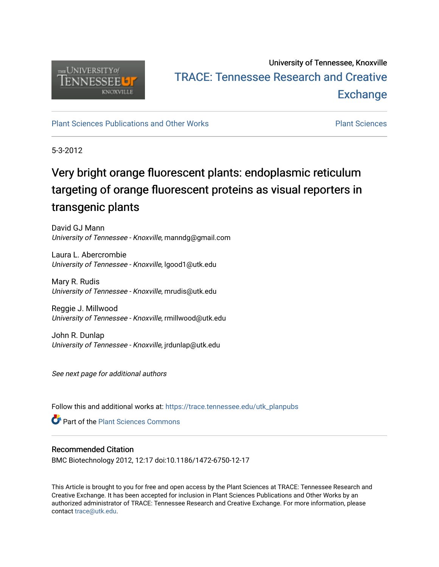

# University of Tennessee, Knoxville TRACE: T[ennessee Research and Cr](https://trace.tennessee.edu/)eative **Exchange**

[Plant Sciences Publications and Other Works](https://trace.tennessee.edu/utk_planpubs) [Plant Sciences](https://trace.tennessee.edu/utk-plan) 

5-3-2012

# Very bright orange fluorescent plants: endoplasmic reticulum targeting of orange fluorescent proteins as visual reporters in transgenic plants

David GJ Mann University of Tennessee - Knoxville, manndg@gmail.com

Laura L. Abercrombie University of Tennessee - Knoxville, lgood1@utk.edu

Mary R. Rudis University of Tennessee - Knoxville, mrudis@utk.edu

Reggie J. Millwood University of Tennessee - Knoxville, rmillwood@utk.edu

John R. Dunlap University of Tennessee - Knoxville, jrdunlap@utk.edu

See next page for additional authors

Follow this and additional works at: [https://trace.tennessee.edu/utk\\_planpubs](https://trace.tennessee.edu/utk_planpubs?utm_source=trace.tennessee.edu%2Futk_planpubs%2F61&utm_medium=PDF&utm_campaign=PDFCoverPages) 

**C** Part of the [Plant Sciences Commons](https://network.bepress.com/hgg/discipline/102?utm_source=trace.tennessee.edu%2Futk_planpubs%2F61&utm_medium=PDF&utm_campaign=PDFCoverPages)

# Recommended Citation

BMC Biotechnology 2012, 12:17 doi:10.1186/1472-6750-12-17

This Article is brought to you for free and open access by the Plant Sciences at TRACE: Tennessee Research and Creative Exchange. It has been accepted for inclusion in Plant Sciences Publications and Other Works by an authorized administrator of TRACE: Tennessee Research and Creative Exchange. For more information, please contact [trace@utk.edu](mailto:trace@utk.edu).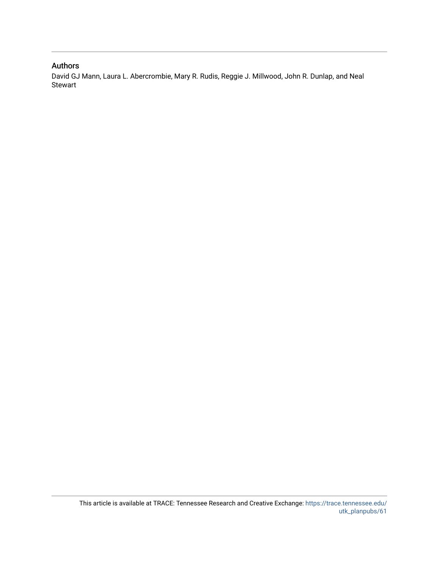# Authors

David GJ Mann, Laura L. Abercrombie, Mary R. Rudis, Reggie J. Millwood, John R. Dunlap, and Neal Stewart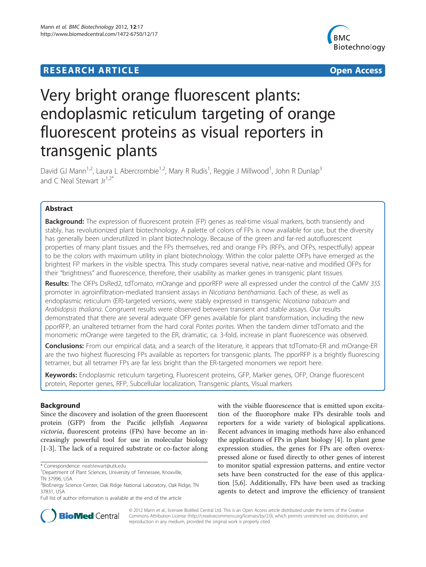# **RESEARCH ARTICLE Example 2014 12:30 The Contract of Contract ACCESS**



# Very bright orange fluorescent plants: endoplasmic reticulum targeting of orange fluorescent proteins as visual reporters in transgenic plants

David GJ Mann<sup>1,2</sup>, Laura L Abercrombie<sup>1,2</sup>, Mary R Rudis<sup>1</sup>, Reggie J Millwood<sup>1</sup>, John R Dunlap<sup>3</sup> and C Neal Stewart  $Jr^{1,2^*}$ 

# Abstract

**Background:** The expression of fluorescent protein (FP) genes as real-time visual markers, both transiently and stably, has revolutionized plant biotechnology. A palette of colors of FPs is now available for use, but the diversity has generally been underutilized in plant biotechnology. Because of the green and far-red autofluorescent properties of many plant tissues and the FPs themselves, red and orange FPs (RFPs, and OFPs, respectfully) appear to be the colors with maximum utility in plant biotechnology. Within the color palette OFPs have emerged as the brightest FP markers in the visible spectra. This study compares several native, near-native and modified OFPs for their "brightness" and fluorescence, therefore, their usability as marker genes in transgenic plant tissues.

Results: The OFPs DsRed2, tdTomato, mOrange and pporRFP were all expressed under the control of the CaMV 35S promoter in agroinfiltration-mediated transient assays in Nicotiana benthamiana. Each of these, as well as endoplasmic reticulum (ER)-targeted versions, were stably expressed in transgenic Nicotiana tabacum and Arabidopsis thaliana. Congruent results were observed between transient and stable assays. Our results demonstrated that there are several adequate OFP genes available for plant transformation, including the new pporRFP, an unaltered tetramer from the hard coral Porites porites. When the tandem dimer tdTomato and the monomeric mOrange were targeted to the ER, dramatic, ca. 3-fold, increase in plant fluorescence was observed.

Conclusions: From our empirical data, and a search of the literature, it appears that tdTomato-ER and mOrange-ER are the two highest fluorescing FPs available as reporters for transgenic plants. The pporRFP is a brightly fluorescing tetramer, but all tetramer FPs are far less bright than the ER-targeted monomers we report here.

Keywords: Endoplasmic reticulum targeting, Fluorescent proteins, GFP, Marker genes, OFP, Orange fluorescent protein, Reporter genes, RFP, Subcellular localization, Transgenic plants, Visual markers

# Background

Since the discovery and isolation of the green fluorescent protein (GFP) from the Pacific jellyfish Aequorea victoria, fluorescent proteins (FPs) have become an increasingly powerful tool for use in molecular biology [[1-3](#page-10-0)]. The lack of a required substrate or co-factor along with the visible fluorescence that is emitted upon excitation of the fluorophore make FPs desirable tools and reporters for a wide variety of biological applications. Recent advances in imaging methods have also enhanced the applications of FPs in plant biology [[4\]](#page-10-0). In plant gene expression studies, the genes for FPs are often overexpressed alone or fused directly to other genes of interest to monitor spatial expression patterns, and entire vector sets have been constructed for the ease of this application [\[5,6](#page-10-0)]. Additionally, FPs have been used as tracking agents to detect and improve the efficiency of transient



© 2012 Mann et al.; licensee BioMed Central Ltd. This is an Open Access article distributed under the terms of the Creative Commons Attribution License (http://creativecommons.org/licenses/by/2.0), which permits unrestricted use, distribution, and reproduction in any medium, provided the original work is properly cited.

<sup>\*</sup> Correspondence: [nealstewart@utk.edu](mailto:nealstewart@utk.edu) <sup>1</sup>

<sup>&</sup>lt;sup>1</sup>Department of Plant Sciences, University of Tennessee, Knoxville, TN 37996, USA

<sup>&</sup>lt;sup>2</sup>BioEnergy Science Center, Oak Ridge National Laboratory, Oak Ridge, TN 37831, USA

Full list of author information is available at the end of the article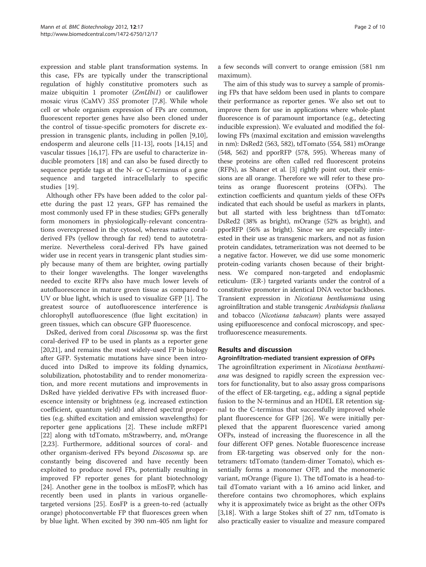expression and stable plant transformation systems. In this case, FPs are typically under the transcriptional regulation of highly constitutive promoters such as maize ubiquitin 1 promoter (ZmUbi1) or cauliflower mosaic virus (CaMV) 35S promoter [[7,8\]](#page-10-0). While whole cell or whole organism expression of FPs are common, fluorescent reporter genes have also been cloned under the control of tissue-specific promoters for discrete expression in transgenic plants, including in pollen [\[9,10](#page-10-0)], endosperm and aleurone cells [\[11](#page-10-0)-[13\]](#page-10-0), roots [\[14,15\]](#page-10-0) and vascular tissues [[16,17\]](#page-10-0). FPs are useful to characterize inducible promoters [[18](#page-10-0)] and can also be fused directly to sequence peptide tags at the N- or C-terminus of a gene sequence and targeted intracellularly to specific studies [\[19](#page-10-0)].

Although other FPs have been added to the color palette during the past 12 years, GFP has remained the most commonly used FP in these studies; GFPs generally form monomers in physiologically-relevant concentrations overexpressed in the cytosol, whereas native coralderived FPs (yellow through far red) tend to autotetramerize. Nevertheless coral-derived FPs have gained wider use in recent years in transgenic plant studies simply because many of them are brighter, owing partially to their longer wavelengths. The longer wavelengths needed to excite RFPs also have much lower levels of autofluorescence in mature green tissue as compared to UV or blue light, which is used to visualize GFP [\[1](#page-10-0)]. The greatest source of autofluorescence interference is chlorophyll autofluorescence (flue light excitation) in green tissues, which can obscure GFP fluorescence.

DsRed, derived from coral Discosoma sp. was the first coral-derived FP to be used in plants as a reporter gene [[20,21\]](#page-10-0), and remains the most widely-used FP in biology after GFP. Systematic mutations have since been introduced into DsRed to improve its folding dynamics, solubilization, photostability and to render monomerization, and more recent mutations and improvements in DsRed have yielded derivative FPs with increased fluorescence intensity or brightness (e.g. increased extinction coefficient, quantum yield) and altered spectral properties (e.g. shifted excitation and emission wavelengths) for reporter gene applications [[2\]](#page-10-0). These include mRFP1 [[22\]](#page-10-0) along with tdTomato, mStrawberry, and, mOrange [[2,](#page-10-0)[23\]](#page-11-0). Furthermore, additional sources of coral- and other organism-derived FPs beyond Discosoma sp. are constantly being discovered and have recently been exploited to produce novel FPs, potentially resulting in improved FP reporter genes for plant biotechnology [[24\]](#page-11-0). Another gene in the toolbox is mEosFP, which has recently been used in plants in various organelletargeted versions [\[25\]](#page-11-0). EosFP is a green-to-red (actually orange) photoconvertable FP that fluoresces green when by blue light. When excited by 390 nm-405 nm light for a few seconds will convert to orange emission (581 nm maximum).

The aim of this study was to survey a sample of promising FPs that have seldom been used in plants to compare their performance as reporter genes. We also set out to improve them for use in applications where whole-plant fluorescence is of paramount importance (e.g., detecting inducible expression). We evaluated and modified the following FPs (maximal excitation and emission wavelengths in nm): DsRed2 (563, 582), tdTomato (554, 581) mOrange (548, 562) and pporRFP (578, 595). Whereas many of these proteins are often called red fluorescent proteins (RFPs), as Shaner et al. [[3\]](#page-10-0) rightly point out, their emissions are all orange. Therefore we will refer to these proteins as orange fluorescent proteins (OFPs). The extinction coefficients and quantum yields of these OFPs indicated that each should be useful as markers in plants, but all started with less brightness than tdTomato: DsRed2 (38% as bright), mOrange (52% as bright), and pporRFP (56% as bright). Since we are especially interested in their use as transgenic markers, and not as fusion protein candidates, tetramerization was not deemed to be a negative factor. However, we did use some monomeric protein-coding variants chosen because of their brightness. We compared non-targeted and endoplasmic reticulum- (ER-) targeted variants under the control of a constitutive promoter in identical DNA vector backbones. Transient expression in Nicotiana benthamiana using agroinfiltration and stable transgenic Arabidopsis thaliana and tobacco (Nicotiana tabacum) plants were assayed using epifluorescence and confocal microscopy, and spectrofluorescence measurements.

#### Results and discussion

#### Agroinfiltration-mediated transient expression of OFPs

The agroinfiltration experiment in Nicotiana benthamiana was designed to rapidly screen the expression vectors for functionality, but to also assay gross comparisons of the effect of ER-targeting, e.g., adding a signal peptide fusion to the N-terminus and an HDEL ER retention signal to the C-terminus that successfully improved whole plant fluorescence for GFP [[26\]](#page-11-0). We were initially perplexed that the apparent fluorescence varied among OFPs, instead of increasing the fluorescence in all the four different OFP genes. Notable fluorescence increase from ER-targeting was observed only for the nontetramers: tdTomato (tandem-dimer Tomato), which essentially forms a monomer OFP, and the monomeric variant, mOrange (Figure [1](#page-4-0)). The tdTomato is a head-totail dTomato variant with a 16 amino acid linker, and therefore contains two chromophores, which explains why it is approximately twice as bright as the other OFPs [[3,18\]](#page-10-0). With a large Stokes shift of 27 nm, tdTomato is also practically easier to visualize and measure compared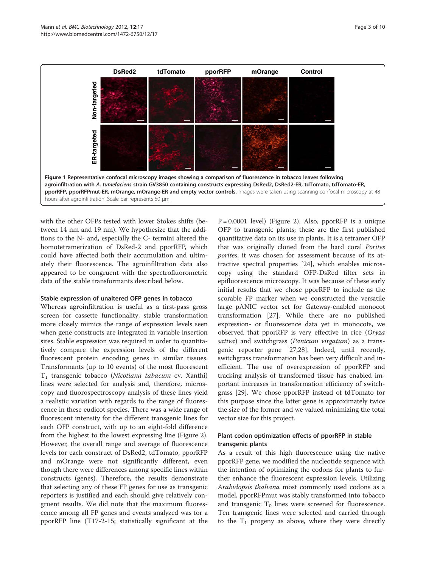<span id="page-4-0"></span>

with the other OFPs tested with lower Stokes shifts (between 14 nm and 19 nm). We hypothesize that the additions to the N- and, especially the C- termini altered the homotetramerization of DsRed-2 and pporRFP, which could have affected both their accumulation and ultimately their fluorescence. The agroinfiltration data also appeared to be congruent with the spectrofluorometric data of the stable transformants described below.

#### Stable expression of unaltered OFP genes in tobacco

Whereas agroinfiltration is useful as a first-pass gross screen for cassette functionality, stable transformation more closely mimics the range of expression levels seen when gene constructs are integrated in variable insertion sites. Stable expression was required in order to quantitatively compare the expression levels of the different fluorescent protein encoding genes in similar tissues. Transformants (up to 10 events) of the most fluorescent  $T_1$  transgenic tobacco (Nicotiana tabacum cv. Xanthi) lines were selected for analysis and, therefore, microscopy and fluorospectroscopy analysis of these lines yield a realistic variation with regards to the range of fluorescence in these eudicot species. There was a wide range of fluorescent intensity for the different transgenic lines for each OFP construct, with up to an eight-fold difference from the highest to the lowest expressing line (Figure [2](#page-5-0)). However, the overall range and average of fluorescence levels for each construct of DsRed2, tdTomato, pporRFP and mOrange were not significantly different, even though there were differences among specific lines within constructs (genes). Therefore, the results demonstrate that selecting any of these FP genes for use as transgenic reporters is justified and each should give relatively congruent results. We did note that the maximum fluorescence among all FP genes and events analyzed was for a pporRFP line (T17-2-15; statistically significant at the

 $P = 0.0001$  level) (Figure [2](#page-5-0)). Also, pporRFP is a unique OFP to transgenic plants; these are the first published quantitative data on its use in plants. It is a tetramer OFP that was originally cloned from the hard coral Porites porites; it was chosen for assessment because of its attractive spectral properties [\[24](#page-11-0)], which enables microscopy using the standard OFP-DsRed filter sets in epifluorescence microscopy. It was because of these early initial results that we chose pporRFP to include as the scorable FP marker when we constructed the versatile large pANIC vector set for Gateway-enabled monocot transformation [[27](#page-11-0)]. While there are no published expression- or fluorescence data yet in monocots, we observed that pporRFP is very effective in rice (Oryza sativa) and switchgrass (Panicum virgatum) as a transgenic reporter gene [[27](#page-11-0),[28](#page-11-0)]. Indeed, until recently, switchgrass transformation has been very difficult and inefficient. The use of overexpression of pporRFP and tracking analysis of transformed tissue has enabled important increases in transformation efficiency of switchgrass [\[29](#page-11-0)]. We chose pporRFP instead of tdTomato for this purpose since the latter gene is approximately twice the size of the former and we valued minimizing the total vector size for this project.

## Plant codon optimization effects of pporRFP in stable transgenic plants

As a result of this high fluorescence using the native pporRFP gene, we modified the nucleotide sequence with the intention of optimizing the codons for plants to further enhance the fluorescent expression levels. Utilizing Arabidopsis thaliana most commonly used codons as a model, pporRFPmut was stably transformed into tobacco and transgenic  $T_0$  lines were screened for fluorescence. Ten transgenic lines were selected and carried through to the  $T_1$  progeny as above, where they were directly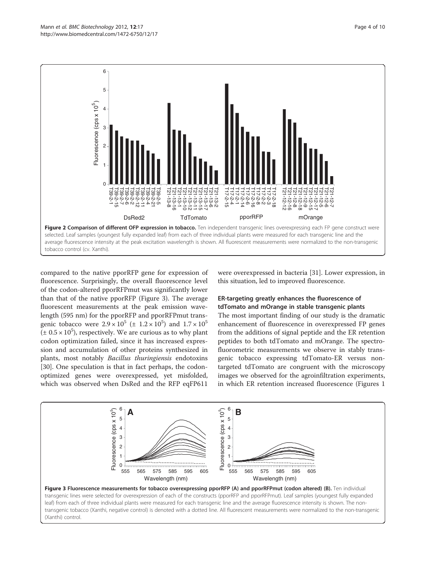compared to the native pporRFP gene for expression of fluorescence. Surprisingly, the overall fluorescence level of the codon-altered pporRFPmut was significantly lower than that of the native pporRFP (Figure 3). The average fluorescent measurements at the peak emission wavelength (595 nm) for the pporRFP and pporRFPmut transgenic tobacco were  $2.9 \times 10^5$  ( $\pm$  1.2  $\times 10^5$ ) and  $1.7 \times 10^5$  $(± 0.5 × 10<sup>5</sup>)$ , respectively. We are curious as to why plant codon optimization failed, since it has increased expression and accumulation of other proteins synthesized in plants, most notably Bacillus thuringiensis endotoxins [[30\]](#page-11-0). One speculation is that in fact perhaps, the codonoptimized genes were overexpressed, yet misfolded, which was observed when DsRed and the RFP eqFP611

Fluorescence (cps x 10<sup>5</sup>

 $\widehat{\phantom{m}}$ 

were overexpressed in bacteria [\[31\]](#page-11-0). Lower expression, in this situation, led to improved fluorescence.

#### ER-targeting greatly enhances the fluorescence of tdTomato and mOrange in stable transgenic plants

The most important finding of our study is the dramatic enhancement of fluorescence in overexpressed FP genes from the additions of signal peptide and the ER retention peptides to both tdTomato and mOrange. The spectrofluorometric measurements we observe in stably transgenic tobacco expressing tdTomato-ER versus nontargeted tdTomato are congruent with the microscopy images we observed for the agroinfiltration experiments, in which ER retention increased fluorescence (Figures [1](#page-4-0)



Fluorescence (cps x 10<sup>5</sup>

 $0$   $\overline{\phantom{0}}$ 

 $6$  ) and  $6$  ) and  $6$  ) and  $6$  ) and  $6$  ) and  $6$  ) and  $6$  ) and  $6$  ) and  $6$  ) and  $6$  ) and  $6$  ) and  $6$  ) and  $6$  ) and  $6$  ) and  $6$  ) and  $6$  ) and  $6$  ) and  $6$  ) and  $6$  ) and  $6$  ) and  $6$  ) and  $6$  ) and

**A B**

<span id="page-5-0"></span>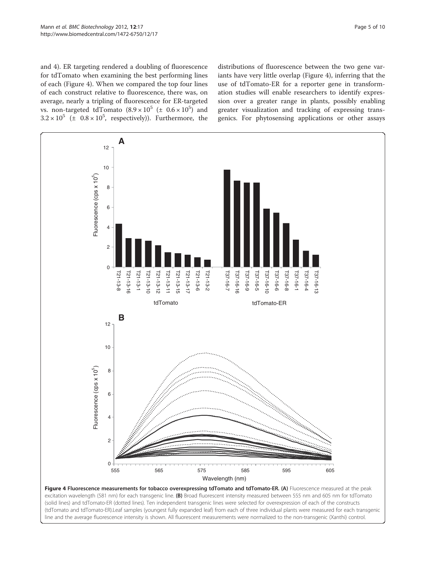<span id="page-6-0"></span>and 4). ER targeting rendered a doubling of fluorescence for tdTomato when examining the best performing lines of each (Figure 4). When we compared the top four lines of each construct relative to fluorescence, there was, on average, nearly a tripling of fluorescence for ER-targeted vs. non-targeted tdTomato  $(8.9 \times 10^5 \text{ (} \pm \text{ 0.6} \times 10^5 \text{)}$  and  $3.2 \times 10^5$  ( $\pm$  0.8  $\times 10^5$ , respectively)). Furthermore, the

distributions of fluorescence between the two gene variants have very little overlap (Figure 4), inferring that the use of tdTomato-ER for a reporter gene in transformation studies will enable researchers to identify expression over a greater range in plants, possibly enabling greater visualization and tracking of expressing transgenics. For phytosensing applications or other assays

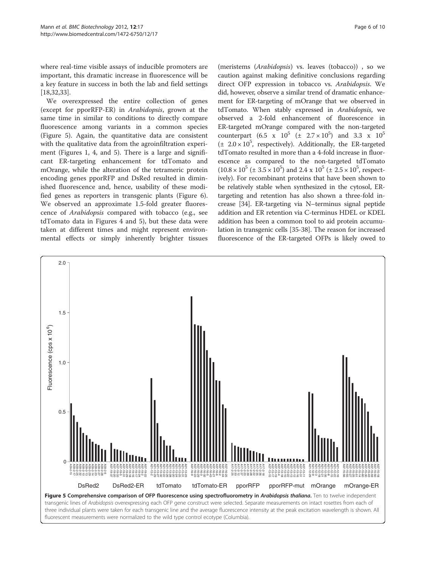<span id="page-7-0"></span>where real-time visible assays of inducible promoters are important, this dramatic increase in fluorescence will be a key feature in success in both the lab and field settings [[18,](#page-10-0)[32,33\]](#page-11-0).

We overexpressed the entire collection of genes (except for pporRFP-ER) in Arabidopsis, grown at the same time in similar to conditions to directly compare fluorescence among variants in a common species (Figure 5). Again, the quantitative data are consistent with the qualitative data from the agroinfiltration experiment (Figures [1](#page-4-0), [4](#page-6-0), and 5). There is a large and significant ER-targeting enhancement for tdTomato and mOrange, while the alteration of the tetrameric protein encoding genes pporRFP and DsRed resulted in diminished fluorescence and, hence, usability of these modified genes as reporters in transgenic plants (Figure [6](#page-8-0)). We observed an approximate 1.5-fold greater fluorescence of Arabidopsis compared with tobacco (e.g., see tdTomato data in Figures [4](#page-6-0) and 5), but these data were taken at different times and might represent environmental effects or simply inherently brighter tissues

(meristems (Arabidopsis) vs. leaves (tobacco)) , so we caution against making definitive conclusions regarding direct OFP expression in tobacco vs. Arabidopsis. We did, however, observe a similar trend of dramatic enhancement for ER-targeting of mOrange that we observed in tdTomato. When stably expressed in Arabidopsis, we observed a 2-fold enhancement of fluorescence in ER-targeted mOrange compared with the non-targeted counterpart  $(6.5 \times 10^5 \text{ (} \pm 2.7 \times 10^5 \text{) and } 3.3 \times 10^5$  $(\pm 2.0 \times 10^5$ , respectively). Additionally, the ER-targeted tdTomato resulted in more than a 4-fold increase in fluorescence as compared to the non-targeted tdTomato  $(10.8 \times 10^5 \ (\pm \ 3.5 \times 10^5)$  and  $2.4 \times 10^5 \ (\pm \ 2.5 \times 10^5)$ , respectively). For recombinant proteins that have been shown to be relatively stable when synthesized in the cytosol, ERtargeting and retention has also shown a three-fold increase [\[34\]](#page-11-0). ER-targeting via N–terminus signal peptide addition and ER retention via C-terminus HDEL or KDEL addition has been a common tool to aid protein accumulation in transgenic cells [\[35-38\]](#page-11-0). The reason for increased fluorescence of the ER-targeted OFPs is likely owed to

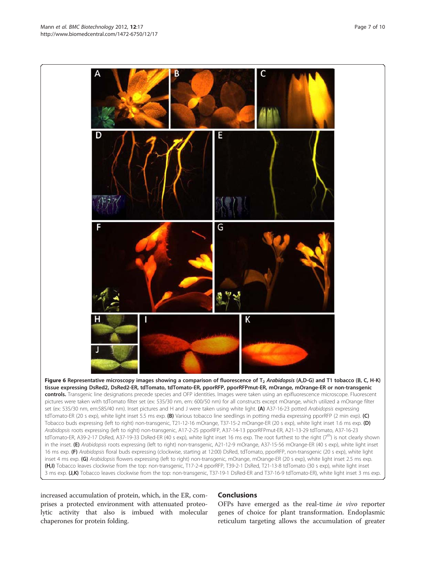<span id="page-8-0"></span>

Figure 6 Representative microscopy images showing a comparison of fluorescence of T<sub>2</sub> Arabidopsis (A,D-G) and T1 tobacco (B, C, H-K) tissue expressing DsRed2, DsRed2-ER, tdTomato, tdTomato-ER, pporRFP, pporRFPmut-ER, mOrange, mOrange-ER or non-transgenic controls. Transgenic line designations precede species and OFP identities. Images were taken using an epifluorescence microscope. Fluorescent pictures were taken with tdTomato filter set (ex: 535/30 nm, em: 600/50 nm) for all constructs except mOrange, which utilized a mOrange filter set (ex: 535/30 nm, em:585/40 nm). Inset pictures and H and J were taken using white light. (A) A37-16-23 potted Arabidopsis expressing tdTomato-ER (20 s exp), white light inset 5.5 ms exp. (B) Various tobacco line seedlings in potting media expressing pporRFP (2 min exp). (C) Tobacco buds expressing (left to right) non-transgenic, T21-12-16 mOrange, T37-15-2 mOrange-ER (20 s exp), white light inset 1.6 ms exp. (D) Arabidopsis roots expressing (left to right) non-transgenic, A17-2-25 pporRFP, A37-14-13 pporRFPmut-ER, A21-13-29 tdTomato, A37-16-23 tdTomato-ER, A39-2-17 DsRed, A37-19-33 DsRed-ER (40 s exp), white light inset 16 ms exp. The root furthest to the right  $(7<sup>th</sup>)$  is not clearly shown in the inset. (E) Arabidopsis roots expressing (left to right) non-transgenic, A21-12-9 mOrange, A37-15-56 mOrange-ER (40 s exp), white light inset 16 ms exp. (F) Arabidopsis floral buds expressing (clockwise, starting at 12:00) DsRed, tdTomato, pporRFP, non-transgenic (20 s exp), white light inset 4 ms exp. (G) Arabidopsis flowers expressing (left to right) non-transgenic, mOrange, mOrange-ER (20 s exp), white light inset 2.5 ms exp. (H,I) Tobacco leaves clockwise from the top: non-transgenic, T17-2-4 pporRFP, T39-2-1 DsRed, T21-13-8 tdTomato (30 s exp), white light inset 3 ms exp. (J,K) Tobacco leaves clockwise from the top: non-transgenic, T37-19-1 DsRed-ER and T37-16-9 tdTomato-ER), white light inset 3 ms exp.

increased accumulation of protein, which, in the ER, comprises a protected environment with attenuated proteolytic activity that also is imbued with molecular chaperones for protein folding.

# Conclusions

OFPs have emerged as the real-time in vivo reporter genes of choice for plant transformation. Endoplasmic reticulum targeting allows the accumulation of greater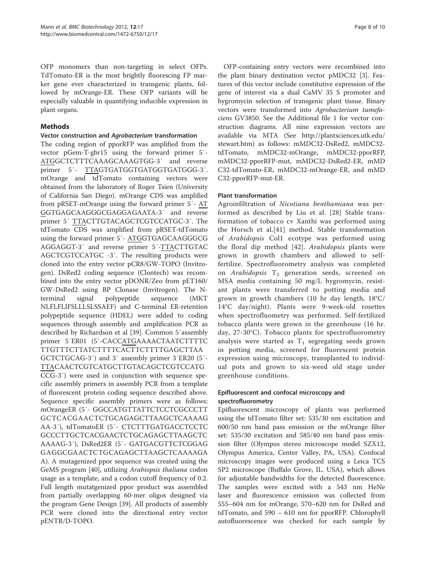OFP monomers than non-targeting in select OFPs. TdTomato-ER is the most brightly fluorescing FP marker gene ever characterized in transgenic plants, followed by mOrange-ER. These OFP variants will be especially valuable in quantifying inducible expression in plant organs.

## Methods

#### Vector construction and Agrobacterium transformation

The coding region of pporRFP was amplified from the vector pGem-T-gbr15 using the forward primer 5′- ATGGCTCTTTCAAAGCAAAGTGG-3′ and reverse primer 5′- TTAGTGATGGTGATGGTGATGGG-3′. mOrange and tdTomato containing vectors were obtained from the laboratory of Roger Tsien (University of California San Diego). mOrange CDS was amplified from pRSET-mOrange using the forward primer 5′- AT GGTGAGCAAGGGCGAGGAGAATA-3′ and reverse primer 5′ TTACTTGTACAGCTCGTCCATGC-3′. The tdTomato CDS was amplified from pRSET-tdTomato using the forward primer 5′- ATGGTGAGCAAGGGCG AGGAGGT-3′ and reverse primer 5′-TTACTTGTAC AGCTCGTCCATGC -3′. The resulting products were cloned into the entry vector pCR8/GW-TOPO (Invitrogen). DsRed2 coding sequence (Clontech) was recombined into the entry vector pDONR/Zeo from pET160/ GW-DsRed2 using BP Clonase (Invitrogen). The Nterminal signal polypeptide sequence (MKT NLFLFLIFSLLLSLSSAEF) and C-terminal ER-retention polypeptide sequence (HDEL) were added to coding sequences through assembly and amplification PCR as described by Richardson et al [[39\]](#page-11-0). Common 5′assembly primer 5'ER01 (5'-CACCATGAAAACTAATCTTTTC TTGTTTCTTATCTTTTCACTTCTTTTGAGCTTAA GCTCTGCAG-3′) and 3′ assembly primer 3′ER20 (5′- TTACAACTCGTCATGCTTGTACAGCTCGTCCATG CCG-3′) were used in conjunction with sequence specific assembly primers in assembly PCR from a template of fluorescent protein coding sequence described above. Sequence specific assembly primers were as follows: mOrangeER (5′- GGCCATGTTATTCTCCTCGCCCTT GCTCACGAACTCTGCAGAGCTTAAGCTCAAAAG AA-3′), tdTomatoER (5′- CTCTTTGATGACCTCCTC GCCCTTGCTCACGAACTCTGCAGAGCTTAAGCTC AAAAG-3′), DsRed2ER (5′- GATGACGTTCTCGGAG GAGGCGAACTCTGCAGAGCTTAAGCTCAAAAGA A). A mutagenized ppor sequence was created using the GeMS program [[40\]](#page-11-0), utilizing Arabiopsis thaliana codon usage as a template, and a codon cutoff frequency of 0.2. Full length mutatgenized ppor product was assembled from partially overlapping 60-mer oligos designed via the program Gene Design [[39\]](#page-11-0). All products of assembly PCR were cloned into the directional entry vector pENTR/D-TOPO.

OFP-containing entry vectors were recombined into the plant binary destination vector pMDC32 [[3\]](#page-10-0). Features of this vector include constitutive expression of the gene of interest via a dual CaMV 35 S promoter and hygromycin selection of transgenic plant tissue. Binary vectors were transformed into Agrobacterium tumefaciens GV3850. See the [Additional file 1](#page-10-0) for vector construction diagrams. All nine expression vectors are available via MTA (See [http://plantsciences.utk.edu/](http://plantsciences.utk.edu/stewart.htm) [stewart.htm\)](http://plantsciences.utk.edu/stewart.htm) as follows: mMDC32-DsRed2, mMDC32 tdTomato, mMDC32-mOrange, mMDC32-pporRFP, mMDC32-pporRFP-mut, mMDC32-DsRed2-ER, mMD C32-tdTomato-ER, mMDC32-mOrange-ER, and mMD C32-pporRFP-mut-ER.

## Plant transformation

Agroinfiltration of Nicotiana benthamiana was performed as described by Liu et al. [[28](#page-11-0)] Stable transformation of tobacco cv Xanthi was performed using the Horsch et al.[[41\]](#page-11-0) method. Stable transformation of Arabidopsis Col1 ecotype was performed using the floral dip method [[42](#page-11-0)]. Arabidopsis plants were grown in growth chambers and allowed to selffertilize. Spectrofluorometry analysis was completed on Arabidopsis  $T_2$  generation seeds, screened on MSA media containing 50 mg/L hygromycin, resistant plants were transferred to potting media and grown in growth chambers (10 hr day length, 18°C/ 14°C day/night). Plants were 9-week-old rosettes when spectrofluometry was performed. Self-fertilized tobacco plants were grown in the greenhouse (16 hr. day, 27-30°C). Tobacco plants for spectrofluorometry analysis were started as  $T_1$  segregating seeds grown in potting media, screened for fluorescent protein expression using microscopy, transplanted to individual pots and grown to six-weed old stage under greenhouse conditions.

## Epifluorescent and confocal microscopy and spectrofluorometry

Epifluorescent microscopy of plants was performed using the tdTomato filter set: 535/30 nm excitation and 600/50 nm band pass emission or the mOrange filter set: 535/30 excitation and 585/40 nm band pass emission filter (Olympus stereo microscope model SZX12, Olympus America, Center Valley, PA, USA). Confocal microscopy images were produced using a Leica TCS SP2 microscope (Buffalo Grove, IL. USA), which allows for adjustable bandwidths for the detected fluorescence. The samples were excited with a 543 nm HeNe laser and fluorescence emission was collected from 555–604 nm for mOrange, 570–620 nm for DsRed and tdTomato, and 590 – 610 nm for pporRFP. Chlorophyll autofluorescence was checked for each sample by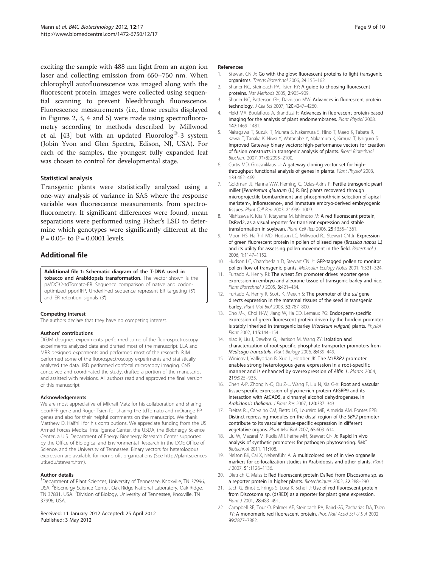<span id="page-10-0"></span>exciting the sample with 488 nm light from an argon ion laser and collecting emission from 650–750 nm. When chlorophyll autofluorescence was imaged along with the fluorescent protein, images were collected using sequential scanning to prevent bleedthrough fluorescence. Fluorescence measurements (i.e., those results displayed in Figures [2, 3](#page-5-0), [4](#page-6-0) and [5\)](#page-7-0) were made using spectrofluorometry according to methods described by Millwood et al. [[43\]](#page-11-0) but with an updated Fluorolog<sup>®</sup>-3 system (Jobin Yvon and Glen Spectra, Edison, NJ, USA). For each of the samples, the youngest fully expanded leaf was chosen to control for developmental stage.

#### Statistical analysis

Transgenic plants were statistically analyzed using a one-way analysis of variance in SAS where the response variable was fluorescence measurements from spectrofluorometry. If significant differences were found, mean separations were performed using Fisher's LSD to determine which genotypes were significantly different at the  $P = 0.05$ - to  $P = 0.0001$  levels.

# Additional file

[Additional file 1:](http://www.biomedcentral.com/content/supplementary/1472-6750-12-17-S1.rtf) Schematic diagram of the T-DNA used in tobacco and Arabidopsis transformation. The vector shown is the pMDC32-tdTomato-ER. Sequence comparison of native and codonoptimized pporRFP. Underlined sequence represent ER targeting (5′) and ER retention signals (3′).

#### Competing interest

The authors declare that they have no competing interest.

#### Authors' contributions

DGJM designed experiments, performed some of the fluorospectroscopy experiments analyzed data and drafted most of the manuscript. LLA and MRR designed experments and performed most of the research. RJM performed some of the fluorospectroscopy experiments and statistically analyzed the data. JRD performed confocal microscopy imaging. CNS conceived and coordinated the study, drafted a portion of the manuscript and assisted with revisions. All authors read and approved the final version of this manuscript.

#### Acknowledgements

We are most appreciative of Mikhail Matz for his collaboration and sharing pporRFP gene and Roger Tsien for sharing the tdTomato and mOrange FP genes and also for their helpful comments on the manuscript. We thank Matthew D. Halfhill for his contributions. We appreciate funding from the US Armed Forces Medical Intelligence Center, the USDA, the BioEnergy Science Center, a U.S. Department of Energy Bioenergy Research Center supported by the Office of Biological and Environmental Research in the DOE Office of Science, and the University of Tennessee. Binary vectors for heterologous expression are available for non-profit organizations (See [http://plantsciences.](http://plantsciences.utk.edu/stewart.htm) [utk.edu/stewart.htm\)](http://plantsciences.utk.edu/stewart.htm).

#### Author details

<sup>1</sup>Department of Plant Sciences, University of Tennessee, Knoxville, TN 37996, USA. <sup>2</sup> BioEnergy Science Center, Oak Ridge National Laboratory, Oak Ridge, TN 37831, USA. <sup>3</sup>Division of Biology, University of Tennessee, Knoxville, TN 37996, USA.

Received: 11 January 2012 Accepted: 25 April 2012 Published: 3 May 2012

#### References

- 1. Stewart CN Jr: Go with the glow: fluorescent proteins to light transgenic organisms. Trends Biotechnol 2006, 24:155–162.
- 2. Shaner NC, Steinbach PA, Tsien RY: A quide to choosing fluorescent proteins. Nat Methods 2005, 2:905–909.
- .<br>Shaner NC, Patterson GH, Davidson MW: Advances in fluorescent protein technology. J Cell Sci 2007, 120:4247–4260.
- 4. Held MA, Boulaflous A, Brandizzi F: Advances in fluorescent protein-based imaging for the analysis of plant endomembranes. Plant Physiol 2008, 147:1469–1481.
- 5. Nakagawa T, Suzuki T, Murata S, Nakamura S, Hino T, Maeo K, Tabata R, Kawai T, Tanaka K, Niwa Y, Watanabe Y, Nakamura K, Kimura T, Ishiguro S; Improved Gateway binary vectors: high-performance vectors for creation of fusion constructs in transgenic analysis of plants. Biosci Biotechnol Biochem 2007, 71(8):2095–2100.
- 6. Curtis MD, Grossniklaus U: A gateway cloning vector set for highthroughput functional analysis of genes in planta. Plant Physiol 2003, 133:462–469.
- 7. Goldman JJ, Hanna WW, Fleming G, Ozias-Akins P: Fertile transgenic pearl millet [Pennisetum glaucum (L.) R. Br.] plants recovered through microprojectile bombardment and phosphinothricin selection of apical meristem-, inflorescence-, and immature embryo-derived embryogenic tissues. Plant Cell Rep 2003, 21:999–1009.
- 8. Nishizawa K, Kita Y, Kitayama M, Ishimoto M: A red fluorescent protein, DsRed2, as a visual reporter for transient expression and stable transformation in soybean. Plant Cell Rep 2006, 25:1355–1361.
- 9. Moon HS, Halfhill MD, Hudson LC, Millwood RJ, Stewart CN Jr: Expression of green fluorescent protein in pollen of oilseed rape (Brassica napus L.) and its utility for assessing pollen movement in the field. Biotechnol J 2006, 1:1147–1152.
- 10. Hudson LC, Chamberlain D, Stewart CN Jr: GFP-tagged pollen to monitor pollen flow of transgenic plants. Molecular Ecology Notes 2001, 1:321-324.
- 11. Furtado A, Henry RJ: The wheat Em promoter drives reporter gene expression in embryo and aleurone tissue of transgenic barley and rice. Plant Biotechnol J 2005, 3:421–434.
- 12. Furtado A, Henry R, Scott K, Meech S: The promoter of the asi gene directs expression in the maternal tissues of the seed in transgenic barley. Plant Mol Biol 2003, 52:787–800.
- 13. Cho M-J, Choi H-W, Jiang W, Ha CD, Lemaux PG: Endosperm-specific expression of green fluorescent protein driven by the hordein promoter is stably inherited in transgenic barley (Hordeum vulgare) plants. Physiol Plant 2002, 115:144–154.
- 14. Xiao K, Liu J, Dewbre G, Harrison M, Wang ZY: Isolation and characterization of root-specific phosphate transporter promoters from Medicago truncatula. Plant Biology 2006, 8:439–449.
- 15. Winicov I, Valliyodan B, Xue L, Hoober JK: The MsPRP2 promoter enables strong heterologous gene expression in a root-specific manner and is enhanced by overexpression of Alfin 1. Planta 2004, 219:925–935.
- 16. Chen A-P, Zhong N-Q, Qu Z-L, Wang F, Liu N, Xia G-X: Root and vascular tissue-specific expression of glycine-rich protein AtGRP9 and its interaction with AtCAD5, a cinnamyl alcohol dehydrogenase, in Arabidopsis thaliana. J Plant Res 2007, 120:337–343.
- 17. Freitas RL, Carvalho CM, Fietto LG, Loureiro ME, Almeida AM, Fontes EPB: Distinct repressing modules on the distal region of the SBP2 promoter contribute to its vascular tissue-specific expression in different vegetative organs. Plant Mol Biol 2007, 65:603–614.
- 18. Liu W, Mazarei M, Rudis MR, Fethe MH, Stewart CN Jr: Rapid in vivo analysis of synthetic promoters for pathogen phytosensing. BMC Biotechnol 2011, 11:108.
- 19. Nelson BK, Cai X, Nebenführ A: A multicolored set of in vivo organelle markers for co-localization studies in Arabidopsis and other plants. Plant J 2007, 51:1126–1136.
- 20. Dietrich C, Maiss E: Red fluorescent protein DsRed from Discosoma sp. as a reporter protein in higher plants. Biotechniques 2002, 32:288–290.
- 21. Jach G, Binot E, Frings S, Luxa K, Schell J: Use of red fluorescent protein from Discosoma sp. (dsRED) as a reporter for plant gene expression. Plant J 2001, 28:483–491.
- 22. Campbell RE, Tour O, Palmer AE, Steinbach PA, Baird GS, Zacharias DA, Tsien RY: A monomeric red fluorescent protein. Proc Natl Acad Sci U S A 2002, 99:7877–7882.